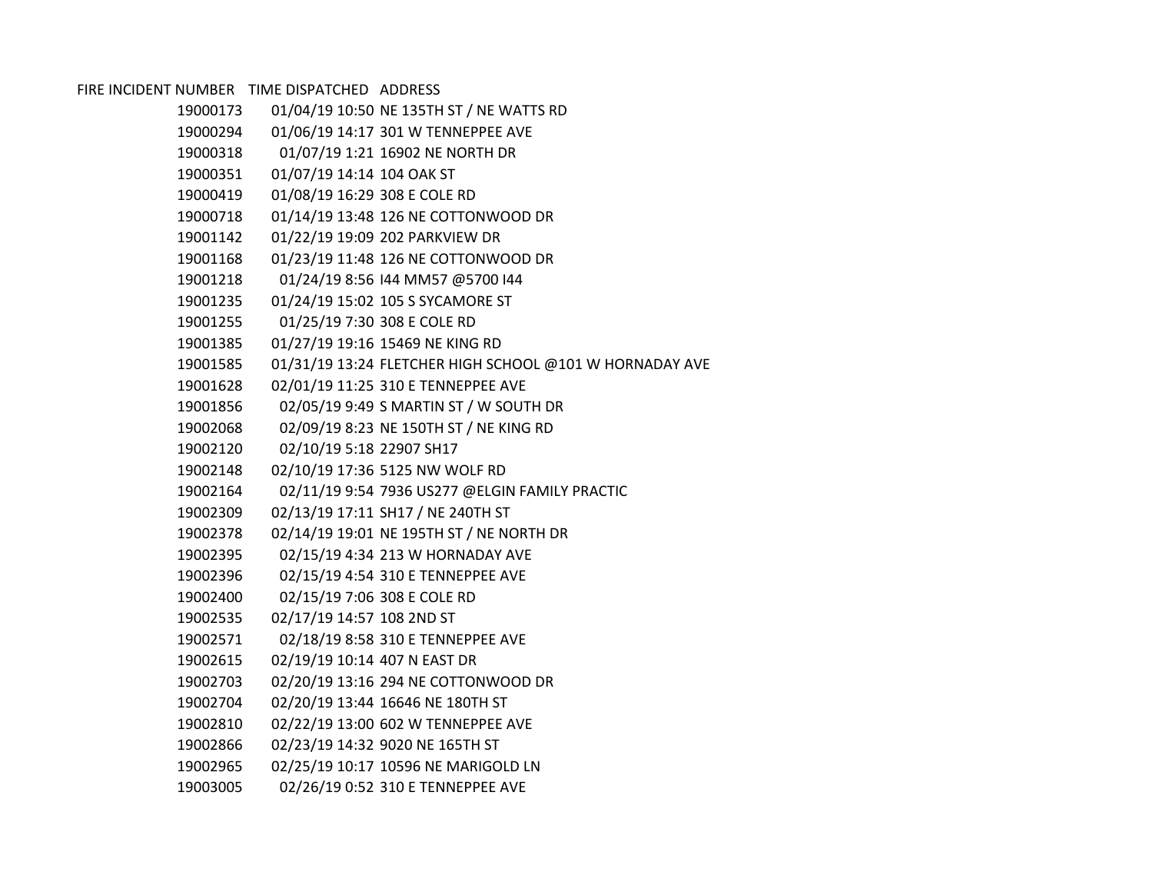FIRE INCIDENT NUMBER TIME DISPATCHED ADDRESS

| 19000173 |                              | 01/04/19 10:50 NE 135TH ST / NE WATTS RD                |
|----------|------------------------------|---------------------------------------------------------|
| 19000294 |                              | 01/06/19 14:17 301 W TENNEPPEE AVE                      |
| 19000318 |                              | 01/07/19 1:21 16902 NE NORTH DR                         |
| 19000351 | 01/07/19 14:14 104 OAK ST    |                                                         |
| 19000419 | 01/08/19 16:29 308 E COLE RD |                                                         |
| 19000718 |                              | 01/14/19 13:48 126 NE COTTONWOOD DR                     |
| 19001142 |                              | 01/22/19 19:09 202 PARKVIEW DR                          |
| 19001168 |                              | 01/23/19 11:48 126 NE COTTONWOOD DR                     |
| 19001218 |                              | 01/24/19 8:56 144 MM57 @5700 144                        |
| 19001235 |                              | 01/24/19 15:02 105 S SYCAMORE ST                        |
| 19001255 | 01/25/19 7:30 308 E COLE RD  |                                                         |
| 19001385 |                              | 01/27/19 19:16 15469 NE KING RD                         |
| 19001585 |                              | 01/31/19 13:24 FLETCHER HIGH SCHOOL @101 W HORNADAY AVE |
| 19001628 |                              | 02/01/19 11:25 310 E TENNEPPEE AVE                      |
| 19001856 |                              | 02/05/19 9:49 S MARTIN ST / W SOUTH DR                  |
| 19002068 |                              | 02/09/19 8:23 NE 150TH ST / NE KING RD                  |
| 19002120 | 02/10/19 5:18 22907 SH17     |                                                         |
| 19002148 |                              | 02/10/19 17:36 5125 NW WOLF RD                          |
| 19002164 |                              | 02/11/19 9:54 7936 US277 @ELGIN FAMILY PRACTIC          |
| 19002309 |                              | 02/13/19 17:11 SH17 / NE 240TH ST                       |
| 19002378 |                              | 02/14/19 19:01 NE 195TH ST / NE NORTH DR                |
| 19002395 |                              | 02/15/19 4:34 213 W HORNADAY AVE                        |
| 19002396 |                              | 02/15/19 4:54 310 E TENNEPPEE AVE                       |
| 19002400 | 02/15/19 7:06 308 E COLE RD  |                                                         |
| 19002535 | 02/17/19 14:57 108 2ND ST    |                                                         |
| 19002571 |                              | 02/18/19 8:58 310 E TENNEPPEE AVE                       |
| 19002615 | 02/19/19 10:14 407 N EAST DR |                                                         |
| 19002703 |                              | 02/20/19 13:16 294 NE COTTONWOOD DR                     |
| 19002704 |                              | 02/20/19 13:44 16646 NE 180TH ST                        |
| 19002810 |                              | 02/22/19 13:00 602 W TENNEPPEE AVE                      |
| 19002866 |                              | 02/23/19 14:32 9020 NE 165TH ST                         |
| 19002965 |                              | 02/25/19 10:17 10596 NE MARIGOLD LN                     |
| 19003005 |                              | 02/26/19 0:52 310 E TENNEPPEE AVE                       |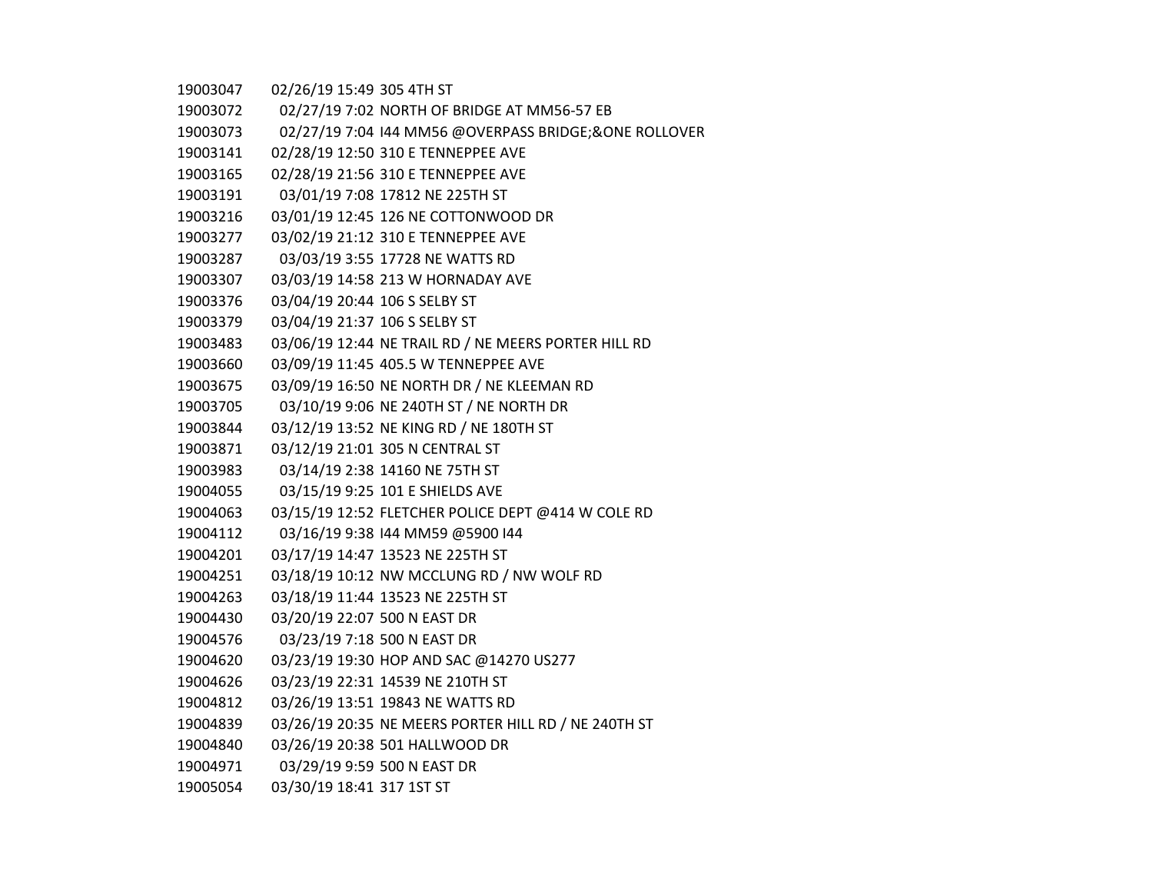02/27/19 7:02 NORTH OF BRIDGE AT MM56-57 EB

02/27/19 7:04 I44 MM56 @OVERPASS BRIDGE;&ONE ROLLOVER

02/28/19 12:50 310 E TENNEPPEE AVE

- 02/28/19 21:56 310 E TENNEPPEE AVE
- 03/01/19 7:08 17812 NE 225TH ST
- 03/01/19 12:45 126 NE COTTONWOOD DR
- 03/02/19 21:12 310 E TENNEPPEE AVE
- 03/03/19 3:55 17728 NE WATTS RD
- 03/03/19 14:58 213 W HORNADAY AVE
- 03/04/19 20:44 106 S SELBY ST
- 03/04/19 21:37 106 S SELBY ST
- 03/06/19 12:44 NE TRAIL RD / NE MEERS PORTER HILL RD
- 03/09/19 11:45 405.5 W TENNEPPEE AVE
- 03/09/19 16:50 NE NORTH DR / NE KLEEMAN RD
- 03/10/19 9:06 NE 240TH ST / NE NORTH DR
- 03/12/19 13:52 NE KING RD / NE 180TH ST
- 03/12/19 21:01 305 N CENTRAL ST
- 03/14/19 2:38 14160 NE 75TH ST
- 03/15/19 9:25 101 E SHIELDS AVE
- 03/15/19 12:52 FLETCHER POLICE DEPT @414 W COLE RD
- 03/16/19 9:38 I44 MM59 @5900 I44
- 03/17/19 14:47 13523 NE 225TH ST
- 03/18/19 10:12 NW MCCLUNG RD / NW WOLF RD
- 03/18/19 11:44 13523 NE 225TH ST
- 03/20/19 22:07 500 N EAST DR
- 03/23/19 7:18 500 N EAST DR
- 03/23/19 19:30 HOP AND SAC @14270 US277
- 03/23/19 22:31 14539 NE 210TH ST
- 03/26/19 13:51 19843 NE WATTS RD
- 03/26/19 20:35 NE MEERS PORTER HILL RD / NE 240TH ST
- 03/26/19 20:38 501 HALLWOOD DR
- 03/29/19 9:59 500 N EAST DR
- 03/30/19 18:41 317 1ST ST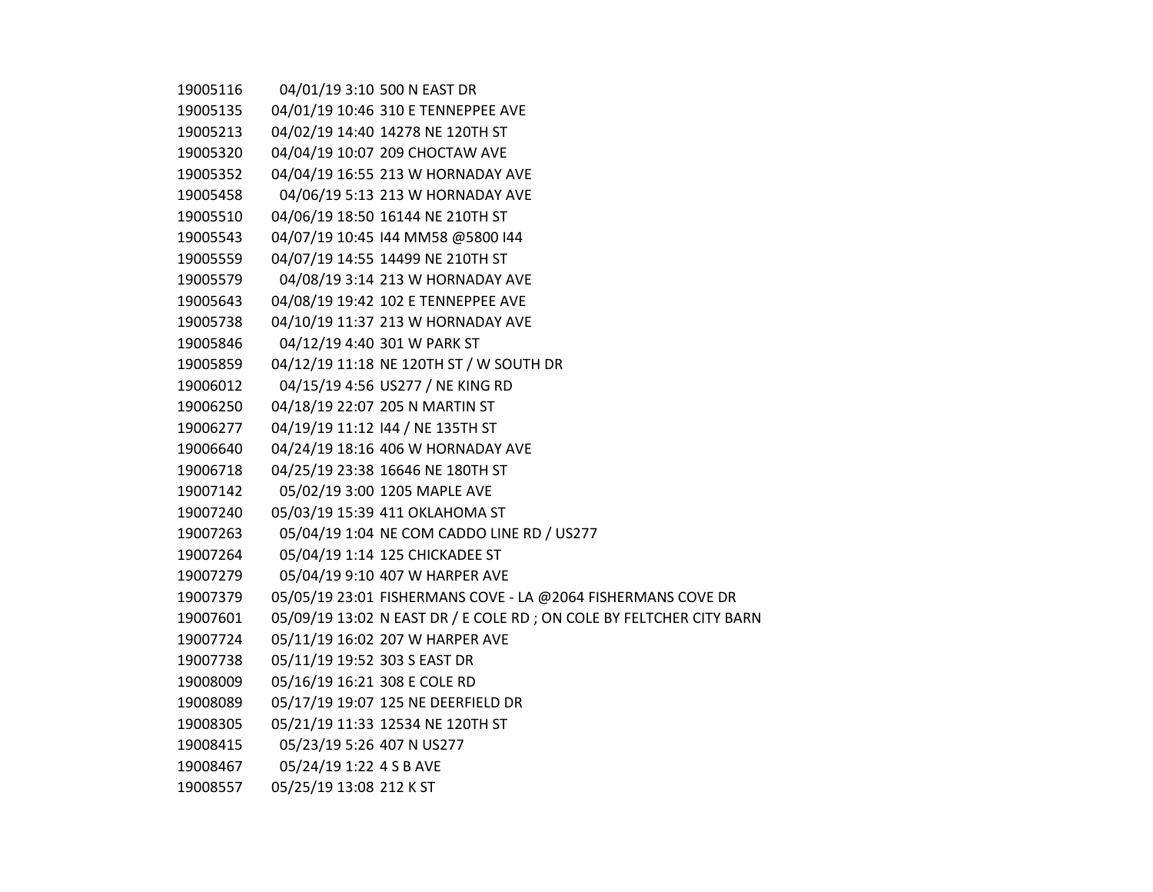| 19005116 |                              | 04/01/19 3:10 500 N EAST DR                                          |
|----------|------------------------------|----------------------------------------------------------------------|
| 19005135 |                              | 04/01/19 10:46 310 E TENNEPPEE AVE                                   |
| 19005213 |                              | 04/02/19 14:40 14278 NE 120TH ST                                     |
| 19005320 |                              | 04/04/19 10:07 209 CHOCTAW AVE                                       |
| 19005352 |                              | 04/04/19 16:55 213 W HORNADAY AVE                                    |
| 19005458 |                              | 04/06/19 5:13 213 W HORNADAY AVE                                     |
| 19005510 |                              | 04/06/19 18:50 16144 NE 210TH ST                                     |
| 19005543 |                              | 04/07/19 10:45 144 MM58 @5800 144                                    |
| 19005559 |                              | 04/07/19 14:55 14499 NE 210TH ST                                     |
| 19005579 |                              | 04/08/19 3:14 213 W HORNADAY AVE                                     |
| 19005643 |                              | 04/08/19 19:42 102 E TENNEPPEE AVE                                   |
| 19005738 |                              | 04/10/19 11:37 213 W HORNADAY AVE                                    |
| 19005846 |                              | 04/12/19 4:40 301 W PARK ST                                          |
| 19005859 |                              | 04/12/19 11:18 NE 120TH ST / W SOUTH DR                              |
| 19006012 |                              | 04/15/19 4:56 US277 / NE KING RD                                     |
| 19006250 |                              | 04/18/19 22:07 205 N MARTIN ST                                       |
| 19006277 |                              | 04/19/19 11:12 144 / NE 135TH ST                                     |
| 19006640 |                              | 04/24/19 18:16 406 W HORNADAY AVE                                    |
| 19006718 |                              | 04/25/19 23:38 16646 NE 180TH ST                                     |
| 19007142 |                              | 05/02/19 3:00 1205 MAPLE AVE                                         |
| 19007240 |                              | 05/03/19 15:39 411 OKLAHOMA ST                                       |
| 19007263 |                              | 05/04/19 1:04 NE COM CADDO LINE RD / US277                           |
| 19007264 |                              | 05/04/19 1:14 125 CHICKADEE ST                                       |
| 19007279 |                              | 05/04/19 9:10 407 W HARPER AVE                                       |
| 19007379 |                              | 05/05/19 23:01 FISHERMANS COVE - LA @2064 FISHERMANS COVE DR         |
| 19007601 |                              | 05/09/19 13:02 N EAST DR / E COLE RD ; ON COLE BY FELTCHER CITY BARN |
| 19007724 |                              | 05/11/19 16:02 207 W HARPER AVE                                      |
| 19007738 | 05/11/19 19:52 303 S EAST DR |                                                                      |
| 19008009 | 05/16/19 16:21 308 E COLE RD |                                                                      |
| 19008089 |                              | 05/17/19 19:07 125 NE DEERFIELD DR                                   |
| 19008305 |                              | 05/21/19 11:33 12534 NE 120TH ST                                     |
| 19008415 | 05/23/19 5:26 407 N US277    |                                                                      |
| 19008467 | 05/24/19 1:22 4 S B AVE      |                                                                      |
| 19008557 | 05/25/19 13:08 212 K ST      |                                                                      |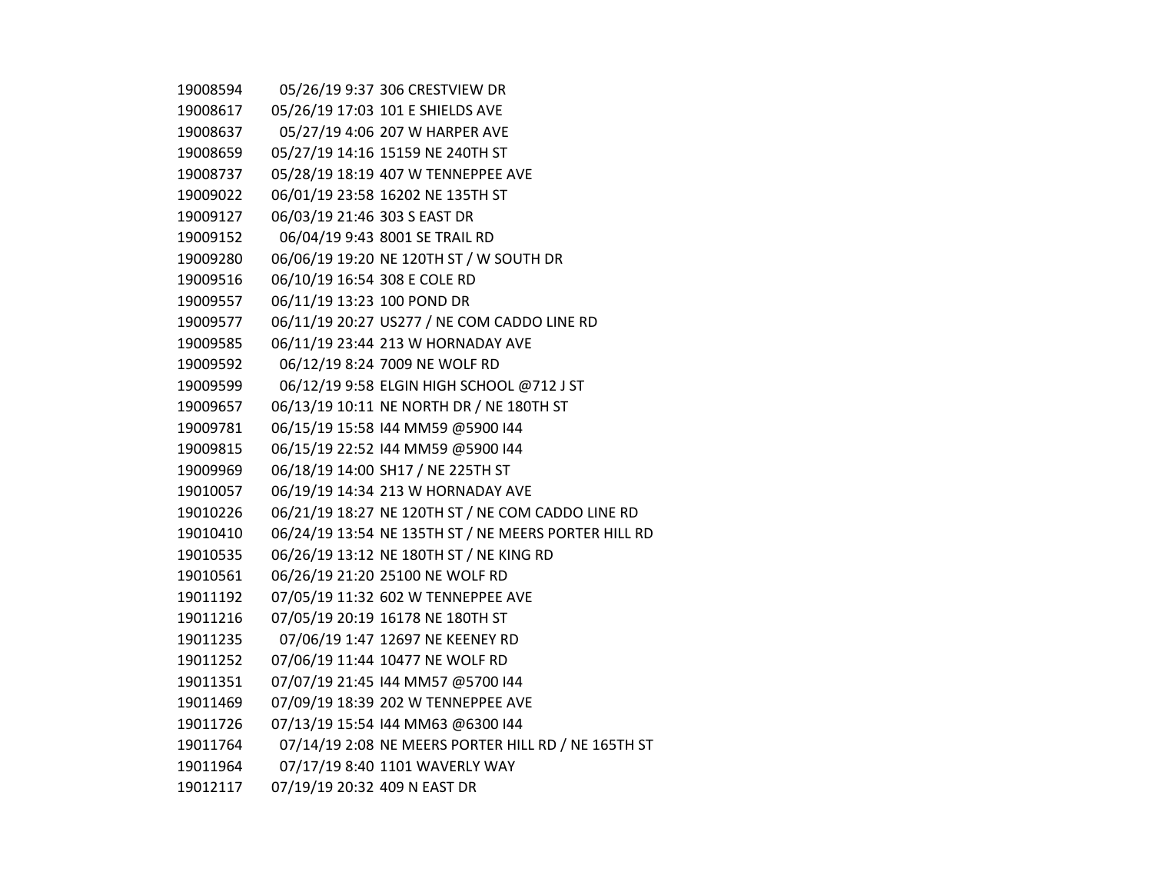| 19008594 |                              | 05/26/19 9:37 306 CRESTVIEW DR                       |
|----------|------------------------------|------------------------------------------------------|
| 19008617 |                              | 05/26/19 17:03 101 E SHIELDS AVE                     |
| 19008637 |                              | 05/27/19 4:06 207 W HARPER AVE                       |
| 19008659 |                              | 05/27/19 14:16 15159 NE 240TH ST                     |
| 19008737 |                              | 05/28/19 18:19 407 W TENNEPPEE AVE                   |
| 19009022 |                              | 06/01/19 23:58 16202 NE 135TH ST                     |
| 19009127 | 06/03/19 21:46 303 S EAST DR |                                                      |
| 19009152 |                              | 06/04/19 9:43 8001 SE TRAIL RD                       |
| 19009280 |                              | 06/06/19 19:20 NE 120TH ST / W SOUTH DR              |
| 19009516 | 06/10/19 16:54 308 E COLE RD |                                                      |
| 19009557 | 06/11/19 13:23 100 POND DR   |                                                      |
| 19009577 |                              | 06/11/19 20:27 US277 / NE COM CADDO LINE RD          |
| 19009585 |                              | 06/11/19 23:44 213 W HORNADAY AVE                    |
| 19009592 |                              | 06/12/19 8:24 7009 NE WOLF RD                        |
| 19009599 |                              | 06/12/19 9:58 ELGIN HIGH SCHOOL @712 J ST            |
| 19009657 |                              | 06/13/19 10:11 NE NORTH DR / NE 180TH ST             |
| 19009781 |                              | 06/15/19 15:58 144 MM59 @5900 144                    |
| 19009815 |                              | 06/15/19 22:52 144 MM59 @5900 144                    |
| 19009969 |                              | 06/18/19 14:00 SH17 / NE 225TH ST                    |
| 19010057 |                              | 06/19/19 14:34 213 W HORNADAY AVE                    |
| 19010226 |                              | 06/21/19 18:27 NE 120TH ST / NE COM CADDO LINE RD    |
| 19010410 |                              | 06/24/19 13:54 NE 135TH ST / NE MEERS PORTER HILL RD |
| 19010535 |                              | 06/26/19 13:12 NE 180TH ST / NE KING RD              |
| 19010561 |                              | 06/26/19 21:20 25100 NE WOLF RD                      |
| 19011192 |                              | 07/05/19 11:32 602 W TENNEPPEE AVE                   |
| 19011216 |                              | 07/05/19 20:19 16178 NE 180TH ST                     |
| 19011235 |                              | 07/06/19 1:47 12697 NE KEENEY RD                     |
| 19011252 |                              | 07/06/19 11:44 10477 NE WOLF RD                      |
| 19011351 |                              | 07/07/19 21:45 144 MM57 @5700 144                    |
| 19011469 |                              | 07/09/19 18:39 202 W TENNEPPEE AVE                   |
| 19011726 |                              | 07/13/19 15:54 144 MM63 @6300 144                    |
| 19011764 |                              | 07/14/19 2:08 NE MEERS PORTER HILL RD / NE 165TH ST  |
| 19011964 |                              | 07/17/19 8:40 1101 WAVERLY WAY                       |
| 19012117 | 07/19/19 20:32 409 N EAST DR |                                                      |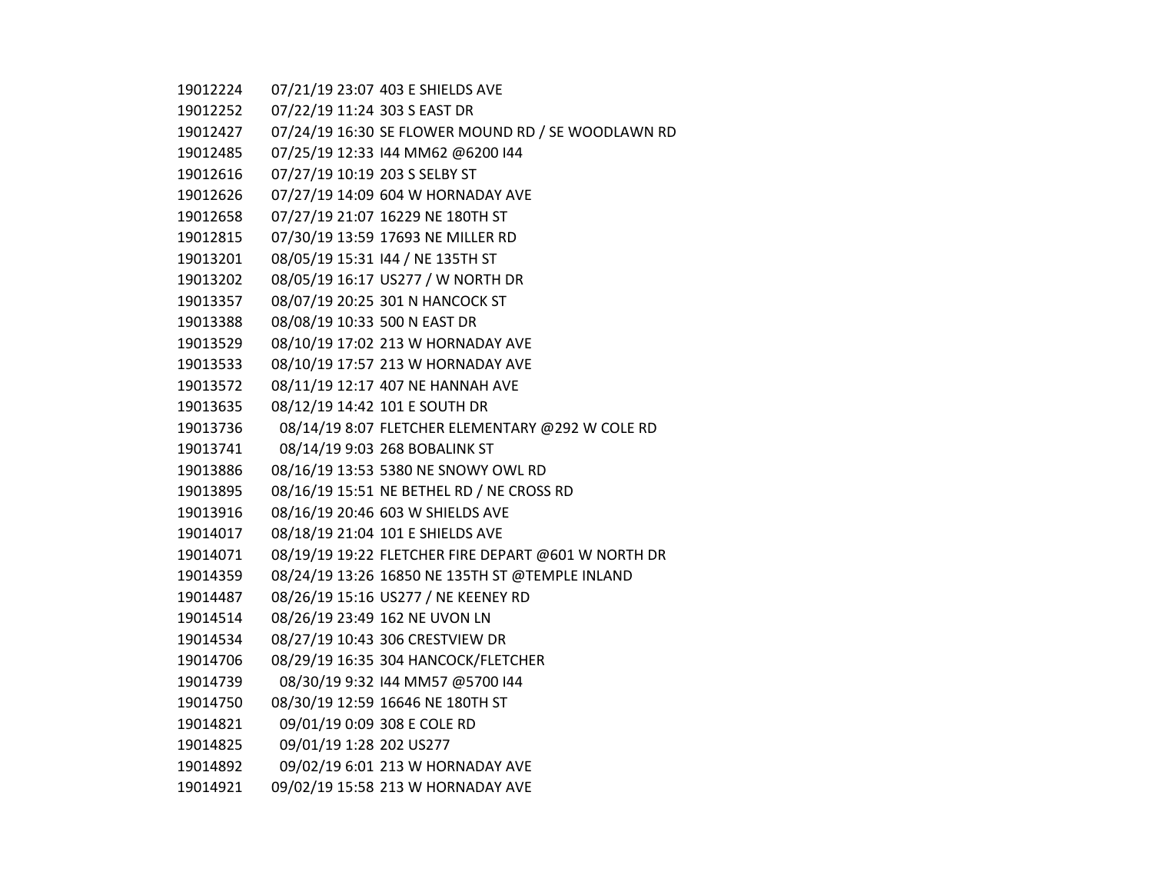07/21/19 23:07 403 E SHIELDS AVE

07/22/19 11:24 303 S EAST DR

07/24/19 16:30 SE FLOWER MOUND RD / SE WOODLAWN RD

07/25/19 12:33 I44 MM62 @6200 I44

07/27/19 10:19 203 S SELBY ST

- 07/27/19 14:09 604 W HORNADAY AVE
- 07/27/19 21:07 16229 NE 180TH ST
- 07/30/19 13:59 17693 NE MILLER RD
- 08/05/19 15:31 I44 / NE 135TH ST
- 08/05/19 16:17 US277 / W NORTH DR
- 08/07/19 20:25 301 N HANCOCK ST
- 08/08/19 10:33 500 N EAST DR
- 08/10/19 17:02 213 W HORNADAY AVE
- 08/10/19 17:57 213 W HORNADAY AVE
- 08/11/19 12:17 407 NE HANNAH AVE
- 08/12/19 14:42 101 E SOUTH DR
- 08/14/19 8:07 FLETCHER ELEMENTARY @292 W COLE RD
- 08/14/19 9:03 268 BOBALINK ST
- 08/16/19 13:53 5380 NE SNOWY OWL RD
- 08/16/19 15:51 NE BETHEL RD / NE CROSS RD
- 08/16/19 20:46 603 W SHIELDS AVE
- 08/18/19 21:04 101 E SHIELDS AVE
- 08/19/19 19:22 FLETCHER FIRE DEPART @601 W NORTH DR
- 08/24/19 13:26 16850 NE 135TH ST @TEMPLE INLAND
- 08/26/19 15:16 US277 / NE KEENEY RD
- 08/26/19 23:49 162 NE UVON LN
- 08/27/19 10:43 306 CRESTVIEW DR
- 08/29/19 16:35 304 HANCOCK/FLETCHER
- 08/30/19 9:32 I44 MM57 @5700 I44
- 08/30/19 12:59 16646 NE 180TH ST
- 09/01/19 0:09 308 E COLE RD
- 09/01/19 1:28 202 US277
- 09/02/19 6:01 213 W HORNADAY AVE
- 09/02/19 15:58 213 W HORNADAY AVE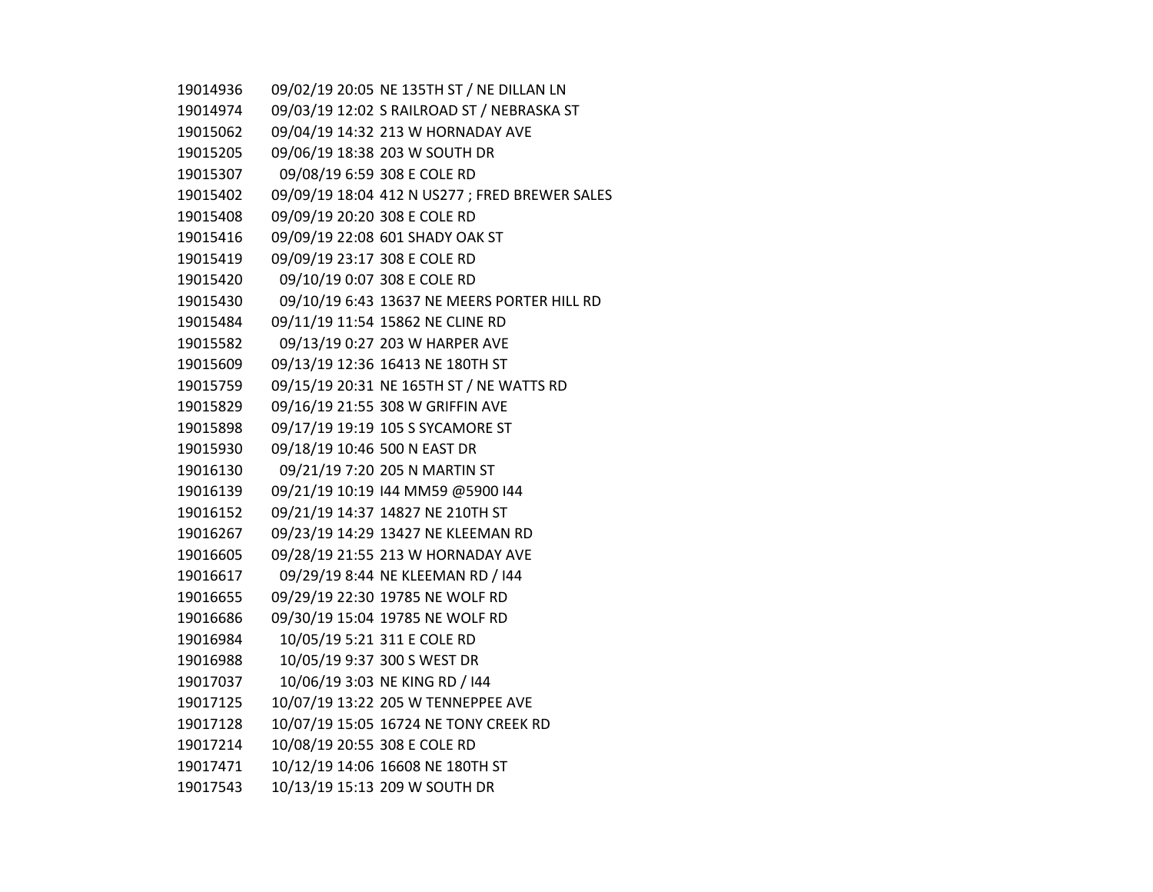| 19014936 | 09/02/19 20:05 NE 135TH ST / NE DILLAN LN      |
|----------|------------------------------------------------|
| 19014974 | 09/03/19 12:02 S RAILROAD ST / NEBRASKA ST     |
| 19015062 | 09/04/19 14:32 213 W HORNADAY AVE              |
| 19015205 | 09/06/19 18:38 203 W SOUTH DR                  |
| 19015307 | 09/08/19 6:59 308 E COLE RD                    |
| 19015402 | 09/09/19 18:04 412 N US277 ; FRED BREWER SALES |
| 19015408 | 09/09/19 20:20 308 E COLE RD                   |
| 19015416 | 09/09/19 22:08 601 SHADY OAK ST                |
| 19015419 | 09/09/19 23:17 308 E COLE RD                   |
| 19015420 | 09/10/19 0:07 308 E COLE RD                    |
| 19015430 | 09/10/19 6:43 13637 NE MEERS PORTER HILL RD    |
| 19015484 | 09/11/19 11:54 15862 NE CLINE RD               |
| 19015582 | 09/13/19 0:27 203 W HARPER AVE                 |
| 19015609 | 09/13/19 12:36 16413 NE 180TH ST               |
| 19015759 | 09/15/19 20:31 NE 165TH ST / NE WATTS RD       |
| 19015829 | 09/16/19 21:55 308 W GRIFFIN AVE               |
| 19015898 | 09/17/19 19:19 105 S SYCAMORE ST               |
| 19015930 | 09/18/19 10:46 500 N EAST DR                   |
| 19016130 | 09/21/19 7:20 205 N MARTIN ST                  |
| 19016139 | 09/21/19 10:19 144 MM59 @5900 144              |
| 19016152 | 09/21/19 14:37 14827 NE 210TH ST               |
| 19016267 | 09/23/19 14:29 13427 NE KLEEMAN RD             |
| 19016605 | 09/28/19 21:55 213 W HORNADAY AVE              |
| 19016617 | 09/29/19 8:44 NE KLEEMAN RD / 144              |
| 19016655 | 09/29/19 22:30 19785 NE WOLF RD                |
| 19016686 | 09/30/19 15:04 19785 NE WOLF RD                |
| 19016984 | 10/05/19 5:21 311 E COLE RD                    |
| 19016988 | 10/05/19 9:37 300 S WEST DR                    |
| 19017037 | 10/06/19 3:03 NE KING RD / 144                 |
| 19017125 | 10/07/19 13:22 205 W TENNEPPEE AVE             |
| 19017128 | 10/07/19 15:05 16724 NE TONY CREEK RD          |
| 19017214 | 10/08/19 20:55 308 E COLE RD                   |
| 19017471 | 10/12/19 14:06 16608 NE 180TH ST               |
| 19017543 | 10/13/19 15:13 209 W SOUTH DR                  |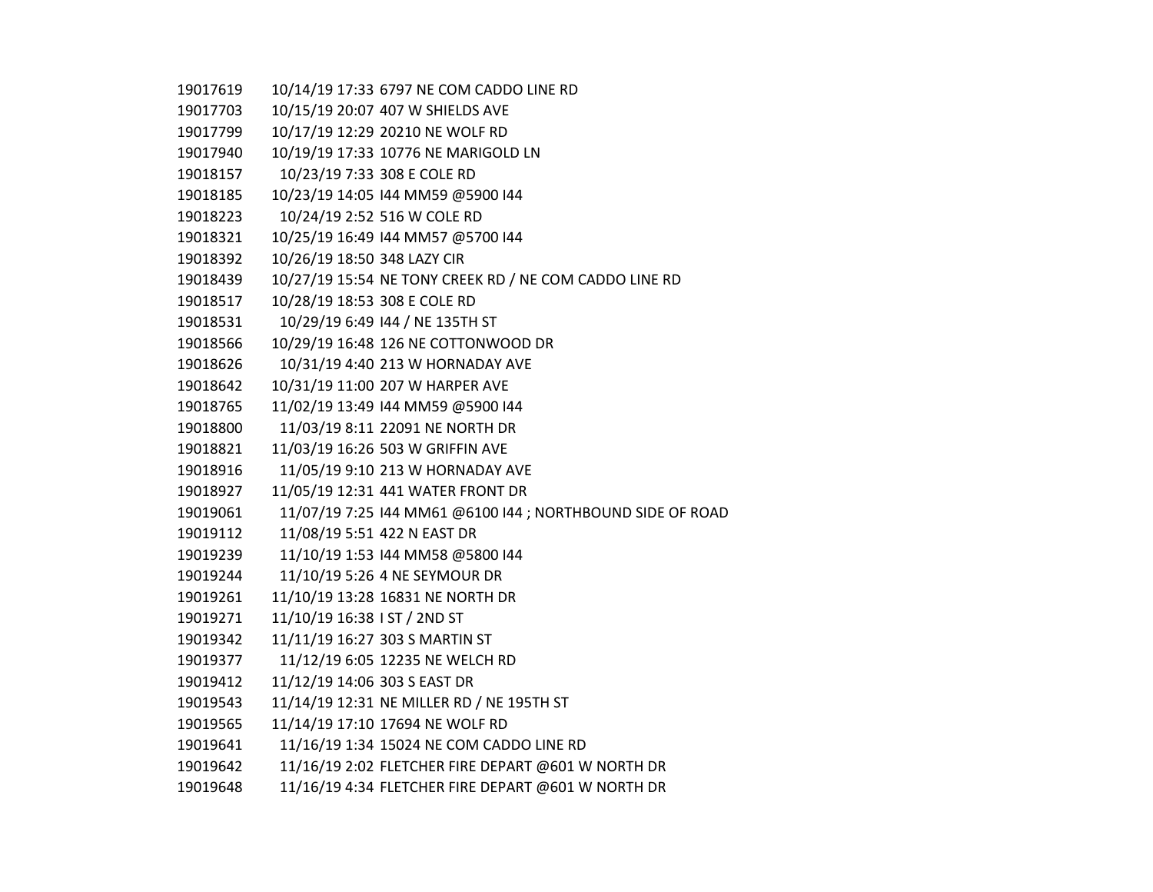| 19017619 | 10/14/19 17:33 6797 NE COM CADDO LINE RD                   |
|----------|------------------------------------------------------------|
| 19017703 | 10/15/19 20:07 407 W SHIELDS AVE                           |
| 19017799 | 10/17/19 12:29 20210 NE WOLF RD                            |
| 19017940 | 10/19/19 17:33 10776 NE MARIGOLD LN                        |
| 19018157 | 10/23/19 7:33 308 E COLE RD                                |
| 19018185 | 10/23/19 14:05 144 MM59 @5900 144                          |
| 19018223 | 10/24/19 2:52 516 W COLE RD                                |
| 19018321 | 10/25/19 16:49 144 MM57 @5700 144                          |
| 19018392 | 10/26/19 18:50 348 LAZY CIR                                |
| 19018439 | 10/27/19 15:54 NE TONY CREEK RD / NE COM CADDO LINE RD     |
| 19018517 | 10/28/19 18:53 308 E COLE RD                               |
| 19018531 | 10/29/19 6:49 144 / NE 135TH ST                            |
| 19018566 | 10/29/19 16:48 126 NE COTTONWOOD DR                        |
| 19018626 | 10/31/19 4:40 213 W HORNADAY AVE                           |
| 19018642 | 10/31/19 11:00 207 W HARPER AVE                            |
| 19018765 | 11/02/19 13:49 144 MM59 @5900 144                          |
| 19018800 | 11/03/19 8:11 22091 NE NORTH DR                            |
| 19018821 | 11/03/19 16:26 503 W GRIFFIN AVE                           |
| 19018916 | 11/05/19 9:10 213 W HORNADAY AVE                           |
| 19018927 | 11/05/19 12:31 441 WATER FRONT DR                          |
| 19019061 | 11/07/19 7:25 144 MM61 @6100 144 ; NORTHBOUND SIDE OF ROAD |
| 19019112 | 11/08/19 5:51 422 N EAST DR                                |
| 19019239 | 11/10/19 1:53 144 MM58 @5800 144                           |
| 19019244 | 11/10/19 5:26 4 NE SEYMOUR DR                              |
| 19019261 | 11/10/19 13:28 16831 NE NORTH DR                           |
| 19019271 | 11/10/19 16:38 I ST / 2ND ST                               |
| 19019342 | 11/11/19 16:27 303 S MARTIN ST                             |
| 19019377 | 11/12/19 6:05 12235 NE WELCH RD                            |
| 19019412 | 11/12/19 14:06 303 S EAST DR                               |
| 19019543 | 11/14/19 12:31 NE MILLER RD / NE 195TH ST                  |
| 19019565 | 11/14/19 17:10 17694 NE WOLF RD                            |
| 19019641 | 11/16/19 1:34 15024 NE COM CADDO LINE RD                   |
| 19019642 | 11/16/19 2:02 FLETCHER FIRE DEPART @601 W NORTH DR         |
| 19019648 | 11/16/19 4:34 FLETCHER FIRE DEPART @601 W NORTH DR         |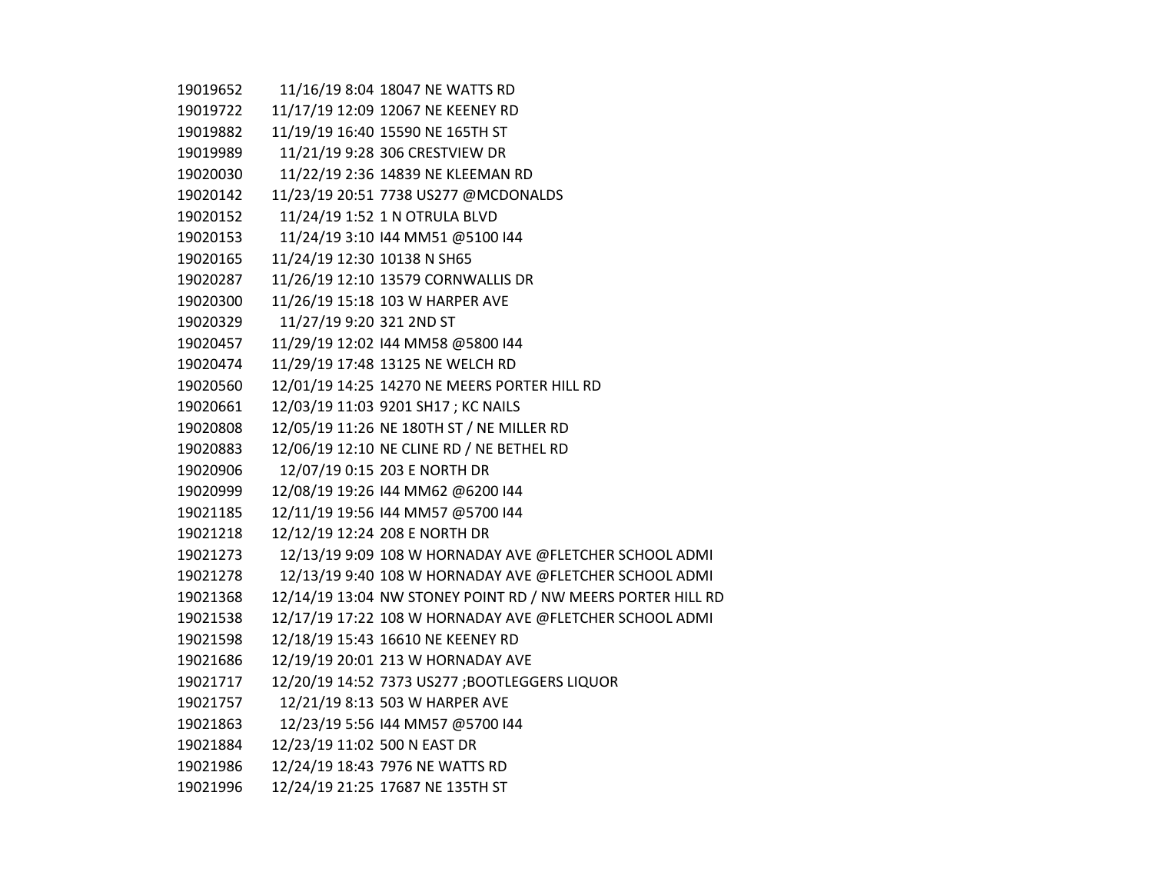| 19019652 |                              | 11/16/19 8:04 18047 NE WATTS RD                             |
|----------|------------------------------|-------------------------------------------------------------|
| 19019722 |                              | 11/17/19 12:09 12067 NE KEENEY RD                           |
| 19019882 |                              | 11/19/19 16:40 15590 NE 165TH ST                            |
| 19019989 |                              | 11/21/19 9:28 306 CRESTVIEW DR                              |
| 19020030 |                              | 11/22/19 2:36 14839 NE KLEEMAN RD                           |
| 19020142 |                              | 11/23/19 20:51 7738 US277 @MCDONALDS                        |
| 19020152 |                              | 11/24/19 1:52 1 N OTRULA BLVD                               |
| 19020153 |                              | 11/24/19 3:10 144 MM51 @5100 144                            |
| 19020165 | 11/24/19 12:30 10138 N SH65  |                                                             |
| 19020287 |                              | 11/26/19 12:10 13579 CORNWALLIS DR                          |
| 19020300 |                              | 11/26/19 15:18 103 W HARPER AVE                             |
| 19020329 | 11/27/19 9:20 321 2ND ST     |                                                             |
| 19020457 |                              | 11/29/19 12:02 144 MM58 @5800 144                           |
| 19020474 |                              | 11/29/19 17:48 13125 NE WELCH RD                            |
| 19020560 |                              | 12/01/19 14:25 14270 NE MEERS PORTER HILL RD                |
| 19020661 |                              | 12/03/19 11:03 9201 SH17; KC NAILS                          |
| 19020808 |                              | 12/05/19 11:26 NE 180TH ST / NE MILLER RD                   |
| 19020883 |                              | 12/06/19 12:10 NE CLINE RD / NE BETHEL RD                   |
| 19020906 |                              | 12/07/19 0:15 203 E NORTH DR                                |
| 19020999 |                              | 12/08/19 19:26 144 MM62 @6200 144                           |
| 19021185 |                              | 12/11/19 19:56 144 MM57 @5700 144                           |
| 19021218 |                              | 12/12/19 12:24 208 E NORTH DR                               |
| 19021273 |                              | 12/13/19 9:09 108 W HORNADAY AVE @FLETCHER SCHOOL ADMI      |
| 19021278 |                              | 12/13/19 9:40 108 W HORNADAY AVE @FLETCHER SCHOOL ADMI      |
| 19021368 |                              | 12/14/19 13:04 NW STONEY POINT RD / NW MEERS PORTER HILL RD |
| 19021538 |                              | 12/17/19 17:22 108 W HORNADAY AVE @FLETCHER SCHOOL ADMI     |
| 19021598 |                              | 12/18/19 15:43 16610 NE KEENEY RD                           |
| 19021686 |                              | 12/19/19 20:01 213 W HORNADAY AVE                           |
| 19021717 |                              | 12/20/19 14:52 7373 US277 ;BOOTLEGGERS LIQUOR               |
| 19021757 |                              | 12/21/19 8:13 503 W HARPER AVE                              |
| 19021863 |                              | 12/23/19 5:56 144 MM57 @5700 144                            |
| 19021884 | 12/23/19 11:02 500 N EAST DR |                                                             |
| 19021986 |                              | 12/24/19 18:43 7976 NE WATTS RD                             |
| 19021996 |                              | 12/24/19 21:25 17687 NE 135TH ST                            |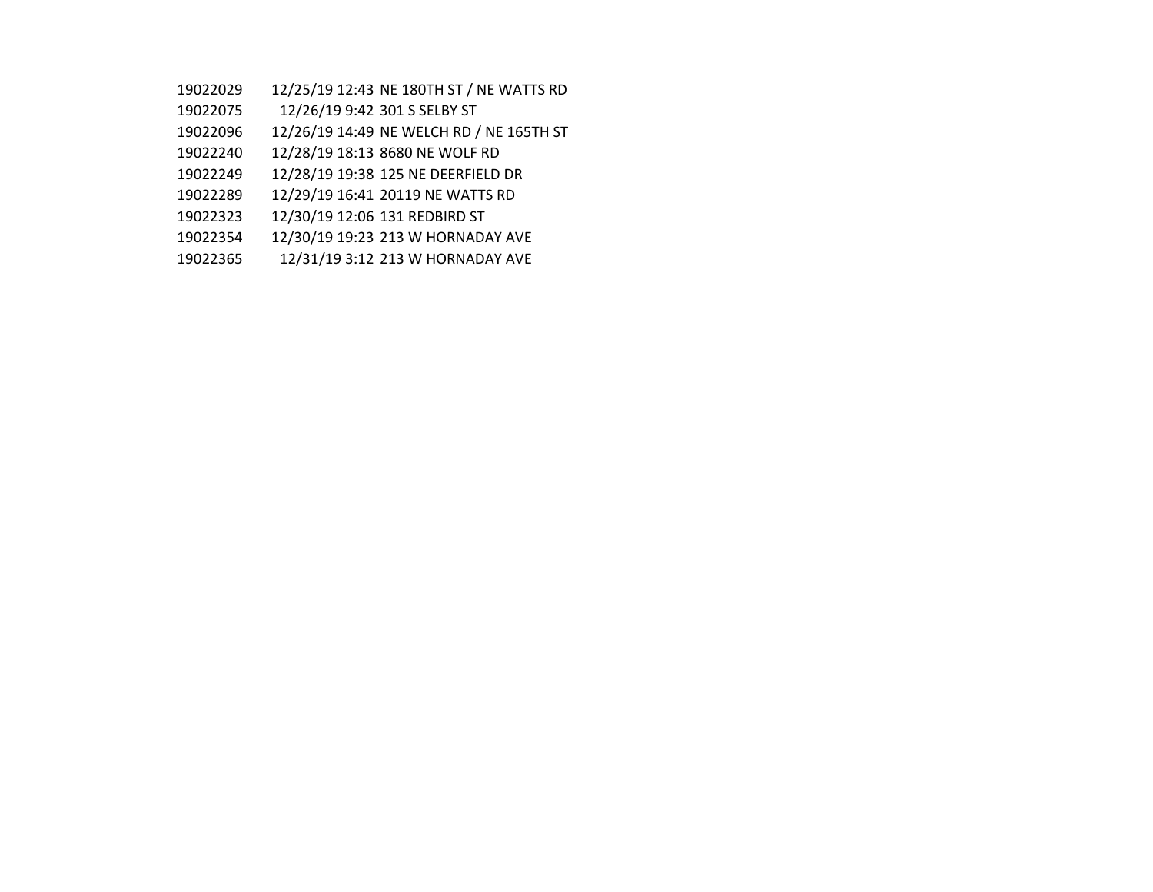- 12/25/19 12:43 NE 180TH ST / NE WATTS RD
- 12/26/19 9:42 301 S SELBY ST
- 12/26/19 14:49 NE WELCH RD / NE 165TH ST
- 12/28/19 18:13 8680 NE WOLF RD
- 12/28/19 19:38 125 NE DEERFIELD DR
- 12/29/19 16:41 20119 NE WATTS RD
- 12/30/19 12:06 131 REDBIRD ST
- 12/30/19 19:23 213 W HORNADAY AVE
- 12/31/19 3:12 213 W HORNADAY AVE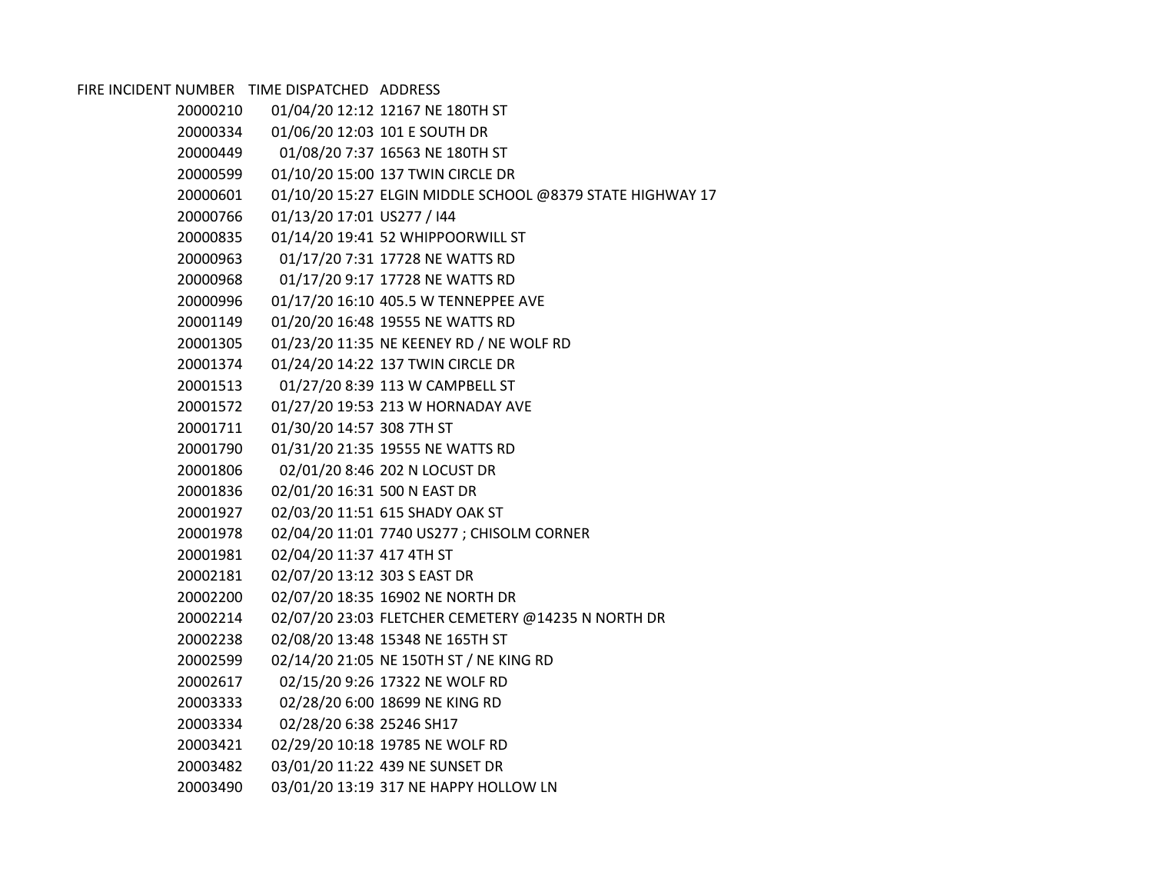FIRE INCIDENT NUMBER TIME DISPATCHED ADDRESS

| 20000210 |                              | 01/04/20 12:12 12167 NE 180TH ST                          |
|----------|------------------------------|-----------------------------------------------------------|
|          |                              | 01/06/20 12:03 101 E SOUTH DR                             |
| 20000449 |                              | 01/08/20 7:37 16563 NE 180TH ST                           |
| 20000599 |                              | 01/10/20 15:00 137 TWIN CIRCLE DR                         |
| 20000601 |                              | 01/10/20 15:27 ELGIN MIDDLE SCHOOL @8379 STATE HIGHWAY 17 |
| 20000766 | 01/13/20 17:01 US277 / I44   |                                                           |
| 20000835 |                              | 01/14/20 19:41 52 WHIPPOORWILL ST                         |
| 20000963 |                              | 01/17/20 7:31 17728 NE WATTS RD                           |
| 20000968 |                              | 01/17/20 9:17 17728 NE WATTS RD                           |
| 20000996 |                              | 01/17/20 16:10 405.5 W TENNEPPEE AVE                      |
| 20001149 |                              | 01/20/20 16:48 19555 NE WATTS RD                          |
| 20001305 |                              | 01/23/20 11:35 NE KEENEY RD / NE WOLF RD                  |
| 20001374 |                              | 01/24/20 14:22 137 TWIN CIRCLE DR                         |
| 20001513 |                              | 01/27/20 8:39 113 W CAMPBELL ST                           |
| 20001572 |                              | 01/27/20 19:53 213 W HORNADAY AVE                         |
| 20001711 | 01/30/20 14:57 308 7TH ST    |                                                           |
| 20001790 |                              | 01/31/20 21:35 19555 NE WATTS RD                          |
| 20001806 |                              | 02/01/20 8:46 202 N LOCUST DR                             |
| 20001836 | 02/01/20 16:31 500 N EAST DR |                                                           |
| 20001927 |                              | 02/03/20 11:51 615 SHADY OAK ST                           |
| 20001978 |                              | 02/04/20 11:01 7740 US277 ; CHISOLM CORNER                |
| 20001981 | 02/04/20 11:37 417 4TH ST    |                                                           |
| 20002181 | 02/07/20 13:12 303 S EAST DR |                                                           |
| 20002200 |                              | 02/07/20 18:35 16902 NE NORTH DR                          |
| 20002214 |                              | 02/07/20 23:03 FLETCHER CEMETERY @14235 N NORTH DR        |
| 20002238 |                              | 02/08/20 13:48 15348 NE 165TH ST                          |
| 20002599 |                              | 02/14/20 21:05 NE 150TH ST / NE KING RD                   |
| 20002617 |                              | 02/15/20 9:26 17322 NE WOLF RD                            |
| 20003333 |                              | 02/28/20 6:00 18699 NE KING RD                            |
|          |                              |                                                           |
| 20003421 |                              | 02/29/20 10:18 19785 NE WOLF RD                           |
| 20003482 |                              | 03/01/20 11:22 439 NE SUNSET DR                           |
| 20003490 |                              | 03/01/20 13:19 317 NE HAPPY HOLLOW LN                     |
|          | 20000334<br>20003334         | 02/28/20 6:38 25246 SH17                                  |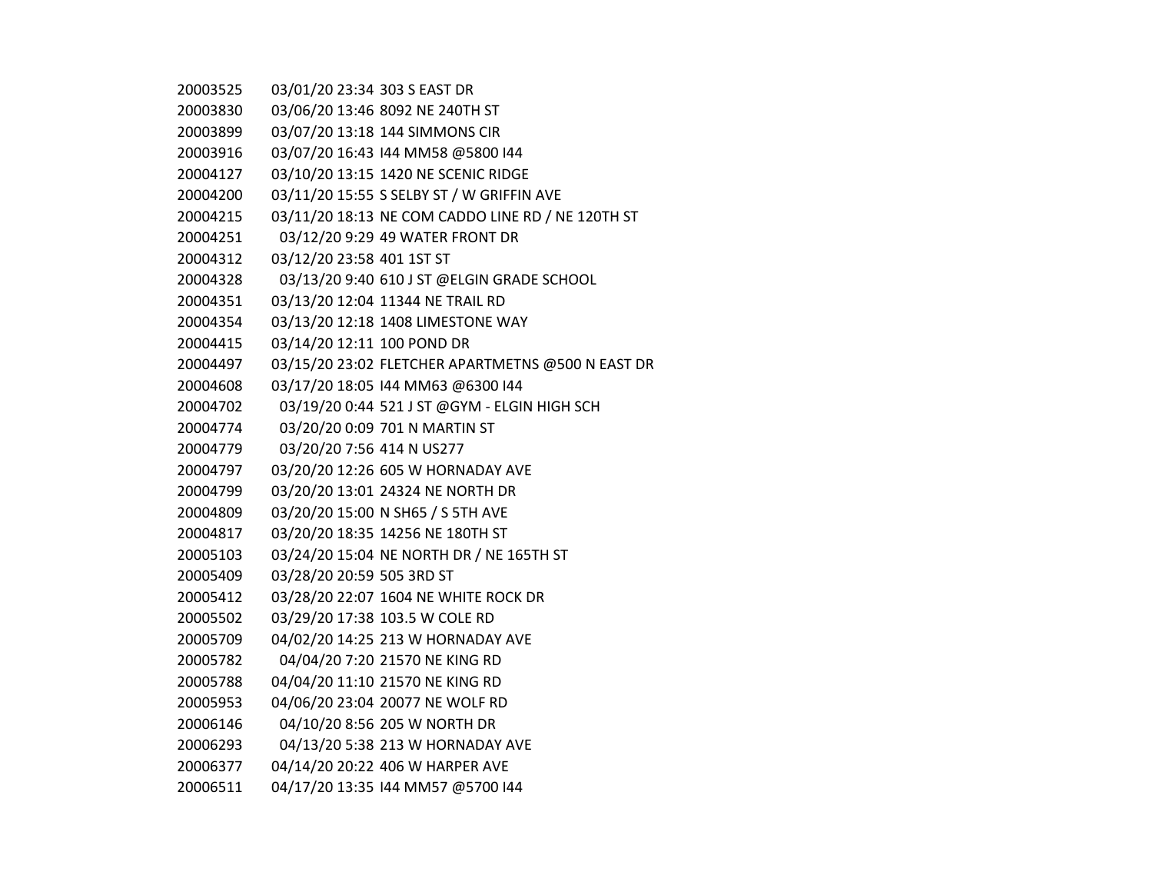| 20003525 | 03/01/20 23:34 303 S EAST DR |                                                   |
|----------|------------------------------|---------------------------------------------------|
| 20003830 |                              | 03/06/20 13:46 8092 NE 240TH ST                   |
| 20003899 |                              | 03/07/20 13:18 144 SIMMONS CIR                    |
| 20003916 |                              | 03/07/20 16:43 144 MM58 @5800 144                 |
| 20004127 |                              | 03/10/20 13:15 1420 NE SCENIC RIDGE               |
| 20004200 |                              | 03/11/20 15:55 S SELBY ST / W GRIFFIN AVE         |
| 20004215 |                              | 03/11/20 18:13 NE COM CADDO LINE RD / NE 120TH ST |
| 20004251 |                              | 03/12/20 9:29 49 WATER FRONT DR                   |
| 20004312 | 03/12/20 23:58 401 1ST ST    |                                                   |
| 20004328 |                              | 03/13/20 9:40 610 J ST @ELGIN GRADE SCHOOL        |
| 20004351 |                              | 03/13/20 12:04 11344 NE TRAIL RD                  |
| 20004354 |                              | 03/13/20 12:18 1408 LIMESTONE WAY                 |
| 20004415 | 03/14/20 12:11 100 POND DR   |                                                   |
| 20004497 |                              | 03/15/20 23:02 FLETCHER APARTMETNS @500 N EAST DR |
| 20004608 |                              | 03/17/20 18:05 144 MM63 @6300 144                 |
| 20004702 |                              | 03/19/20 0:44 521 J ST @GYM - ELGIN HIGH SCH      |
| 20004774 |                              | 03/20/20 0:09 701 N MARTIN ST                     |
| 20004779 | 03/20/20 7:56 414 N US277    |                                                   |
| 20004797 |                              | 03/20/20 12:26 605 W HORNADAY AVE                 |
| 20004799 |                              | 03/20/20 13:01 24324 NE NORTH DR                  |
| 20004809 |                              | 03/20/20 15:00 N SH65 / S 5TH AVE                 |
| 20004817 |                              | 03/20/20 18:35 14256 NE 180TH ST                  |
| 20005103 |                              | 03/24/20 15:04 NE NORTH DR / NE 165TH ST          |
| 20005409 | 03/28/20 20:59 505 3RD ST    |                                                   |
| 20005412 |                              | 03/28/20 22:07 1604 NE WHITE ROCK DR              |
| 20005502 |                              | 03/29/20 17:38 103.5 W COLE RD                    |
| 20005709 |                              | 04/02/20 14:25 213 W HORNADAY AVE                 |
| 20005782 |                              | 04/04/20 7:20 21570 NE KING RD                    |
| 20005788 |                              | 04/04/20 11:10 21570 NE KING RD                   |
| 20005953 |                              | 04/06/20 23:04 20077 NE WOLF RD                   |
| 20006146 |                              | 04/10/20 8:56 205 W NORTH DR                      |
| 20006293 |                              | 04/13/20 5:38 213 W HORNADAY AVE                  |
| 20006377 |                              | 04/14/20 20:22 406 W HARPER AVE                   |
| 20006511 |                              | 04/17/20 13:35 144 MM57 @5700 144                 |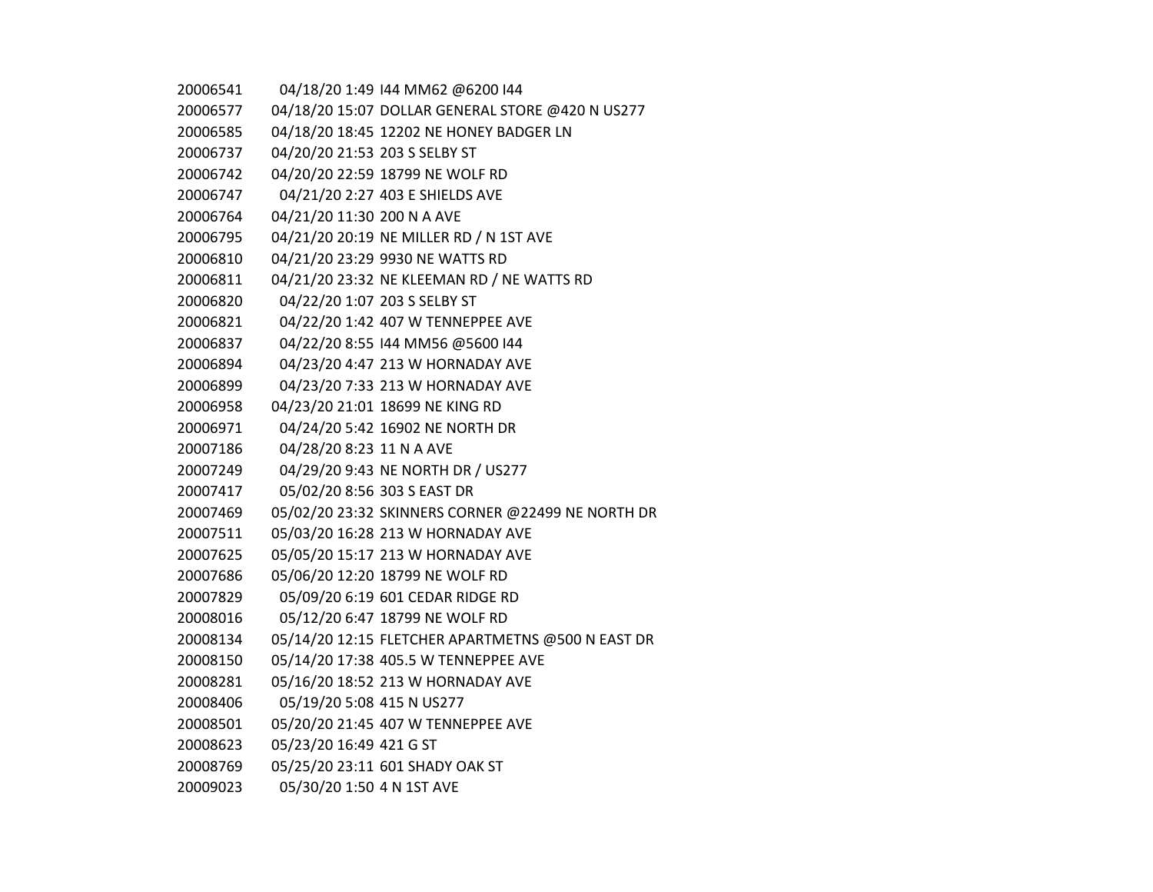| 20006541 |                               | 04/18/20 1:49 144 MM62 @6200 144                  |
|----------|-------------------------------|---------------------------------------------------|
| 20006577 |                               | 04/18/20 15:07 DOLLAR GENERAL STORE @420 N US277  |
| 20006585 |                               | 04/18/20 18:45 12202 NE HONEY BADGER LN           |
| 20006737 | 04/20/20 21:53 203 S SELBY ST |                                                   |
| 20006742 |                               | 04/20/20 22:59 18799 NE WOLF RD                   |
| 20006747 |                               | 04/21/20 2:27 403 E SHIELDS AVE                   |
| 20006764 | 04/21/20 11:30 200 N A AVE    |                                                   |
| 20006795 |                               | 04/21/20 20:19 NE MILLER RD / N 1ST AVE           |
| 20006810 |                               | 04/21/20 23:29 9930 NE WATTS RD                   |
| 20006811 |                               | 04/21/20 23:32 NE KLEEMAN RD / NE WATTS RD        |
| 20006820 | 04/22/20 1:07 203 S SELBY ST  |                                                   |
| 20006821 |                               | 04/22/20 1:42 407 W TENNEPPEE AVE                 |
| 20006837 |                               | 04/22/20 8:55 144 MM56 @5600 144                  |
| 20006894 |                               | 04/23/20 4:47 213 W HORNADAY AVE                  |
| 20006899 |                               | 04/23/20 7:33 213 W HORNADAY AVE                  |
| 20006958 |                               | 04/23/20 21:01 18699 NE KING RD                   |
| 20006971 |                               | 04/24/20 5:42 16902 NE NORTH DR                   |
| 20007186 | 04/28/20 8:23 11 N A AVE      |                                                   |
| 20007249 |                               | 04/29/20 9:43 NE NORTH DR / US277                 |
| 20007417 | 05/02/20 8:56 303 S EAST DR   |                                                   |
| 20007469 |                               | 05/02/20 23:32 SKINNERS CORNER @22499 NE NORTH DR |
| 20007511 |                               | 05/03/20 16:28 213 W HORNADAY AVE                 |
| 20007625 |                               | 05/05/20 15:17 213 W HORNADAY AVE                 |
| 20007686 |                               | 05/06/20 12:20 18799 NE WOLF RD                   |
| 20007829 |                               | 05/09/20 6:19 601 CEDAR RIDGE RD                  |
| 20008016 |                               | 05/12/20 6:47 18799 NE WOLF RD                    |
| 20008134 |                               | 05/14/20 12:15 FLETCHER APARTMETNS @500 N EAST DR |
| 20008150 |                               | 05/14/20 17:38 405.5 W TENNEPPEE AVE              |
| 20008281 |                               | 05/16/20 18:52 213 W HORNADAY AVE                 |
| 20008406 | 05/19/20 5:08 415 N US277     |                                                   |
| 20008501 |                               | 05/20/20 21:45 407 W TENNEPPEE AVE                |
| 20008623 | 05/23/20 16:49 421 G ST       |                                                   |
| 20008769 |                               | 05/25/20 23:11 601 SHADY OAK ST                   |
| 20009023 | 05/30/20 1:50 4 N 1ST AVE     |                                                   |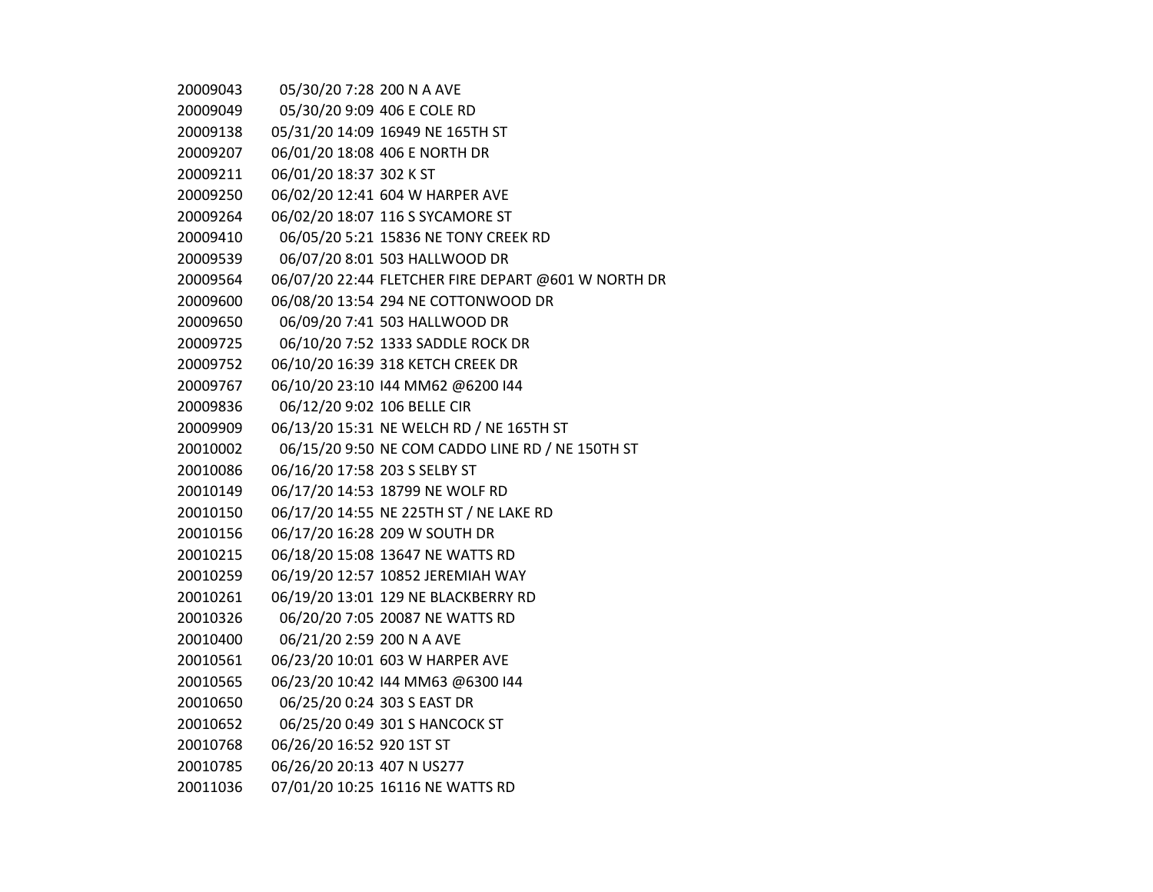| 20009043 | 05/30/20 7:28 200 N A AVE     |                                                     |
|----------|-------------------------------|-----------------------------------------------------|
| 20009049 |                               | 05/30/20 9:09 406 E COLE RD                         |
| 20009138 |                               | 05/31/20 14:09 16949 NE 165TH ST                    |
| 20009207 |                               | 06/01/20 18:08 406 E NORTH DR                       |
| 20009211 | 06/01/20 18:37 302 K ST       |                                                     |
| 20009250 |                               | 06/02/20 12:41 604 W HARPER AVE                     |
| 20009264 |                               | 06/02/20 18:07 116 S SYCAMORE ST                    |
| 20009410 |                               | 06/05/20 5:21 15836 NE TONY CREEK RD                |
| 20009539 |                               | 06/07/20 8:01 503 HALLWOOD DR                       |
| 20009564 |                               | 06/07/20 22:44 FLETCHER FIRE DEPART @601 W NORTH DR |
| 20009600 |                               | 06/08/20 13:54 294 NE COTTONWOOD DR                 |
| 20009650 |                               | 06/09/20 7:41 503 HALLWOOD DR                       |
| 20009725 |                               | 06/10/20 7:52 1333 SADDLE ROCK DR                   |
| 20009752 |                               | 06/10/20 16:39 318 KETCH CREEK DR                   |
| 20009767 |                               | 06/10/20 23:10 144 MM62 @6200 144                   |
| 20009836 | 06/12/20 9:02 106 BELLE CIR   |                                                     |
| 20009909 |                               | 06/13/20 15:31 NE WELCH RD / NE 165TH ST            |
| 20010002 |                               | 06/15/20 9:50 NE COM CADDO LINE RD / NE 150TH ST    |
| 20010086 | 06/16/20 17:58 203 S SELBY ST |                                                     |
| 20010149 |                               | 06/17/20 14:53 18799 NE WOLF RD                     |
| 20010150 |                               | 06/17/20 14:55 NE 225TH ST / NE LAKE RD             |
| 20010156 |                               | 06/17/20 16:28 209 W SOUTH DR                       |
| 20010215 |                               | 06/18/20 15:08 13647 NE WATTS RD                    |
| 20010259 |                               | 06/19/20 12:57 10852 JEREMIAH WAY                   |
| 20010261 |                               | 06/19/20 13:01 129 NE BLACKBERRY RD                 |
| 20010326 |                               | 06/20/20 7:05 20087 NE WATTS RD                     |
| 20010400 | 06/21/20 2:59 200 N A AVE     |                                                     |
| 20010561 |                               | 06/23/20 10:01 603 W HARPER AVE                     |
| 20010565 |                               | 06/23/20 10:42 144 MM63 @6300 144                   |
| 20010650 | 06/25/20 0:24 303 S EAST DR   |                                                     |
| 20010652 |                               | 06/25/20 0:49 301 S HANCOCK ST                      |
| 20010768 | 06/26/20 16:52 920 1ST ST     |                                                     |
| 20010785 | 06/26/20 20:13 407 N US277    |                                                     |
| 20011036 |                               | 07/01/20 10:25 16116 NE WATTS RD                    |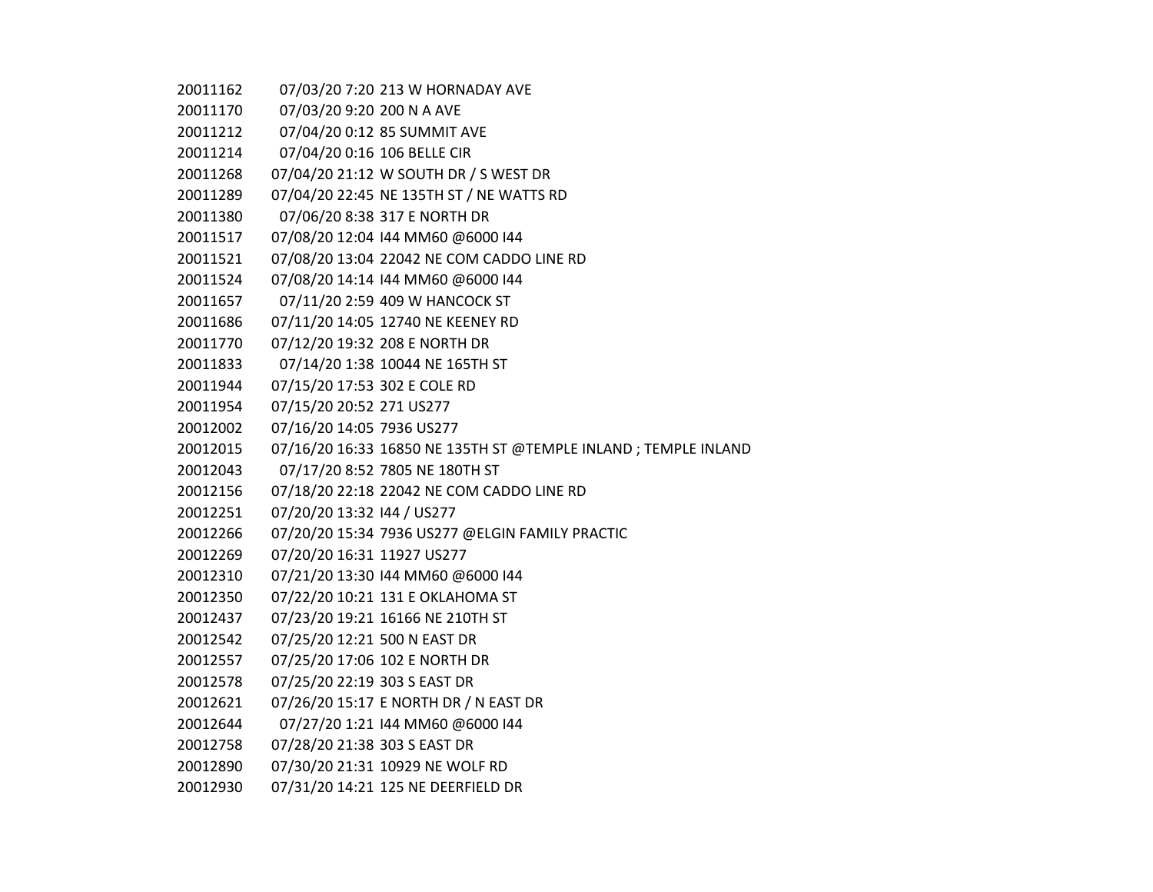07/03/20 7:20 213 W HORNADAY AVE 07/03/20 9:20 200 N A AVE 07/04/20 0:12 85 SUMMIT AVE 07/04/20 0:16 106 BELLE CIR 07/04/20 21:12 W SOUTH DR / S WEST DR 07/04/20 22:45 NE 135TH ST / NE WATTS RD 07/06/20 8:38 317 E NORTH DR 07/08/20 12:04 I44 MM60 @6000 I44 07/08/20 13:04 22042 NE COM CADDO LINE RD 07/08/20 14:14 I44 MM60 @6000 I44 07/11/20 2:59 409 W HANCOCK ST 07/11/20 14:05 12740 NE KEENEY RD 07/12/20 19:32 208 E NORTH DR 07/14/20 1:38 10044 NE 165TH ST 07/15/20 17:53 302 E COLE RD 07/15/20 20:52 271 US277 07/16/20 14:05 7936 US277 07/16/20 16:33 16850 NE 135TH ST @TEMPLE INLAND ; TEMPLE INLAND 07/17/20 8:52 7805 NE 180TH ST 07/18/20 22:18 22042 NE COM CADDO LINE RD 07/20/20 13:32 I44 / US277 07/20/20 15:34 7936 US277 @ELGIN FAMILY PRACTIC 07/20/20 16:31 11927 US277 07/21/20 13:30 I44 MM60 @6000 I44 07/22/20 10:21 131 E OKLAHOMA ST 07/23/20 19:21 16166 NE 210TH ST 07/25/20 12:21 500 N EAST DR 07/25/20 17:06 102 E NORTH DR 07/25/20 22:19 303 S EAST DR 07/26/20 15:17 E NORTH DR / N EAST DR 07/27/20 1:21 I44 MM60 @6000 I44 07/28/20 21:38 303 S EAST DR 07/30/20 21:31 10929 NE WOLF RD 07/31/20 14:21 125 NE DEERFIELD DR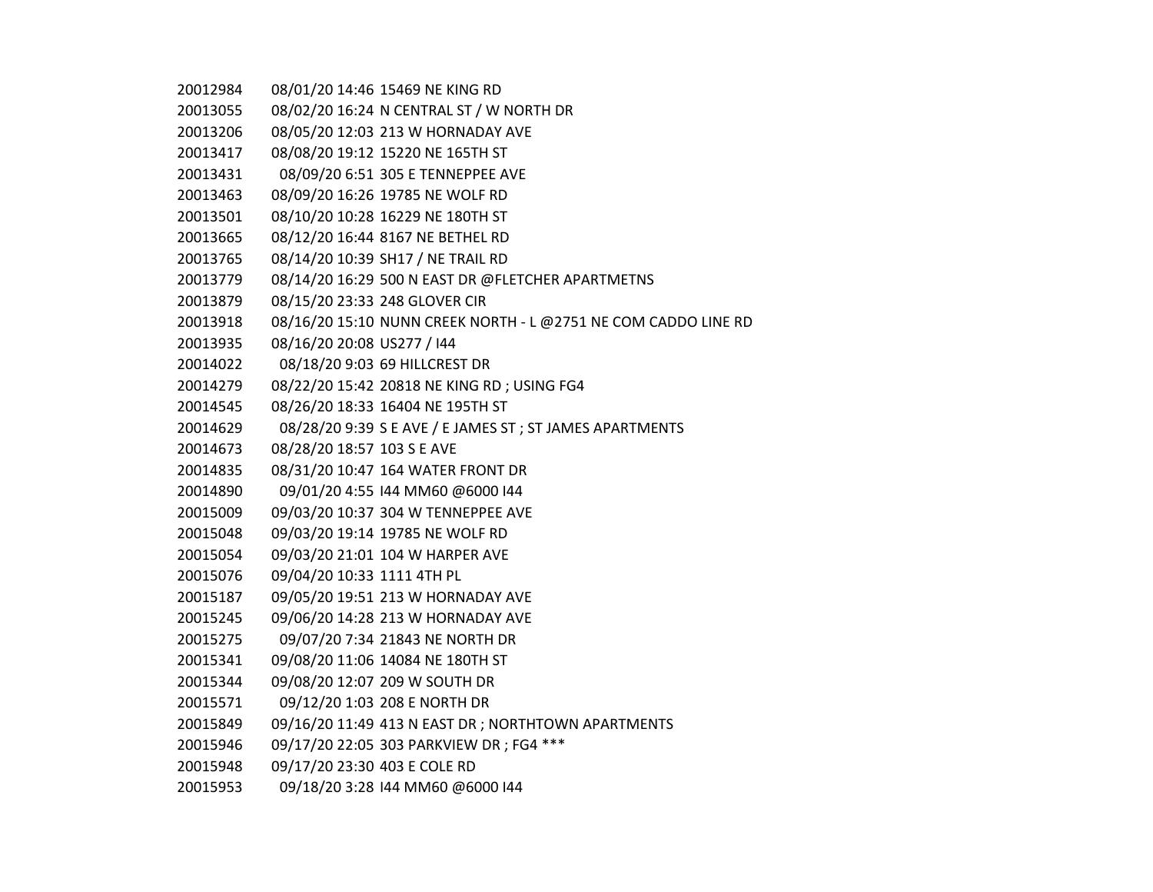| 20012984 |                              | 08/01/20 14:46 15469 NE KING RD                                |
|----------|------------------------------|----------------------------------------------------------------|
| 20013055 |                              | 08/02/20 16:24 N CENTRAL ST / W NORTH DR                       |
| 20013206 |                              | 08/05/20 12:03 213 W HORNADAY AVE                              |
| 20013417 |                              | 08/08/20 19:12 15220 NE 165TH ST                               |
| 20013431 |                              | 08/09/20 6:51 305 E TENNEPPEE AVE                              |
| 20013463 |                              | 08/09/20 16:26 19785 NE WOLF RD                                |
| 20013501 |                              | 08/10/20 10:28 16229 NE 180TH ST                               |
| 20013665 |                              | 08/12/20 16:44 8167 NE BETHEL RD                               |
| 20013765 |                              | 08/14/20 10:39 SH17 / NE TRAIL RD                              |
| 20013779 |                              | 08/14/20 16:29 500 N EAST DR @FLETCHER APARTMETNS              |
| 20013879 |                              | 08/15/20 23:33 248 GLOVER CIR                                  |
| 20013918 |                              | 08/16/20 15:10 NUNN CREEK NORTH - L @2751 NE COM CADDO LINE RD |
| 20013935 | 08/16/20 20:08 US277 / I44   |                                                                |
| 20014022 |                              | 08/18/20 9:03 69 HILLCREST DR                                  |
| 20014279 |                              | 08/22/20 15:42 20818 NE KING RD; USING FG4                     |
| 20014545 |                              | 08/26/20 18:33 16404 NE 195TH ST                               |
| 20014629 |                              | 08/28/20 9:39 S E AVE / E JAMES ST ; ST JAMES APARTMENTS       |
| 20014673 | 08/28/20 18:57 103 S E AVE   |                                                                |
| 20014835 |                              | 08/31/20 10:47 164 WATER FRONT DR                              |
| 20014890 |                              | 09/01/20 4:55 144 MM60 @6000 144                               |
| 20015009 |                              | 09/03/20 10:37 304 W TENNEPPEE AVE                             |
| 20015048 |                              | 09/03/20 19:14 19785 NE WOLF RD                                |
| 20015054 |                              | 09/03/20 21:01 104 W HARPER AVE                                |
| 20015076 | 09/04/20 10:33 1111 4TH PL   |                                                                |
| 20015187 |                              | 09/05/20 19:51 213 W HORNADAY AVE                              |
| 20015245 |                              | 09/06/20 14:28 213 W HORNADAY AVE                              |
| 20015275 |                              | 09/07/20 7:34 21843 NE NORTH DR                                |
| 20015341 |                              | 09/08/20 11:06 14084 NE 180TH ST                               |
| 20015344 |                              | 09/08/20 12:07 209 W SOUTH DR                                  |
| 20015571 |                              | 09/12/20 1:03 208 E NORTH DR                                   |
| 20015849 |                              | 09/16/20 11:49 413 N EAST DR ; NORTHTOWN APARTMENTS            |
| 20015946 |                              | 09/17/20 22:05 303 PARKVIEW DR; FG4 ***                        |
| 20015948 | 09/17/20 23:30 403 E COLE RD |                                                                |
| 20015953 |                              | 09/18/20 3:28 144 MM60 @6000 144                               |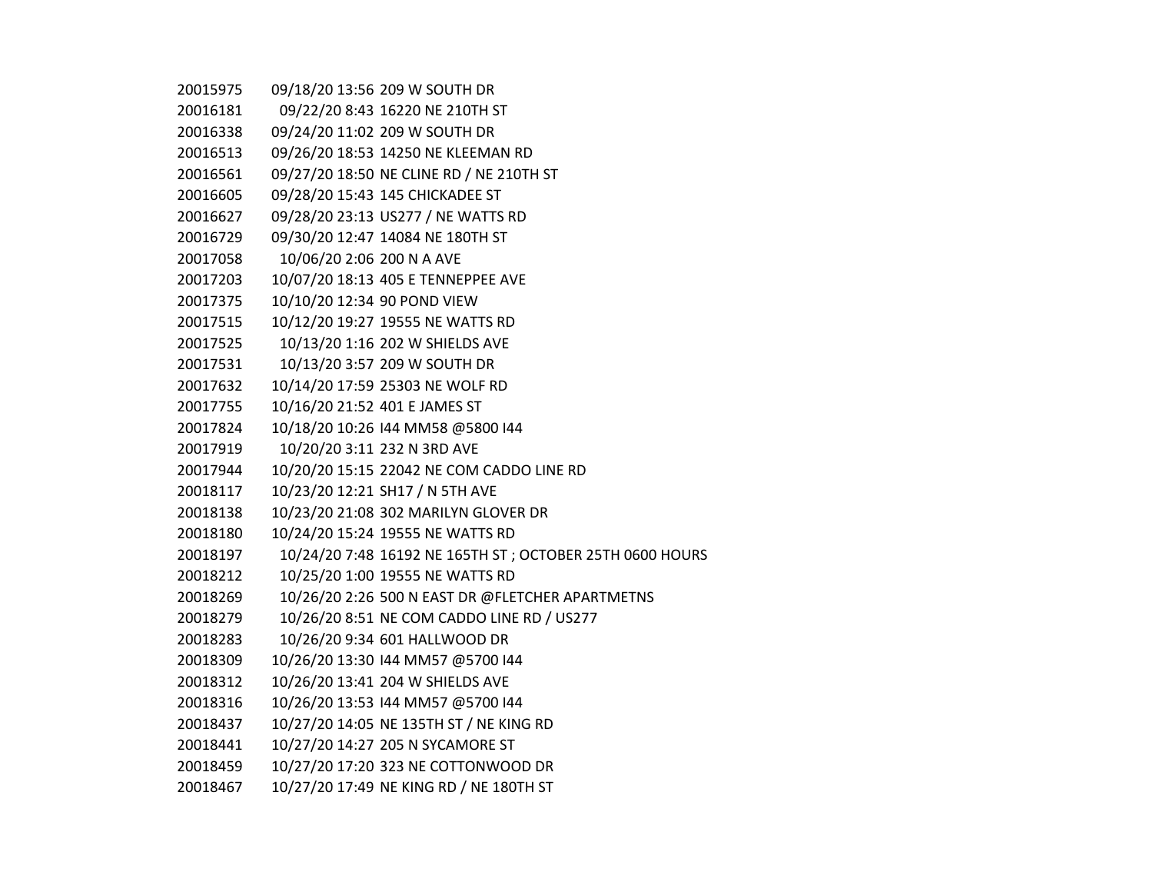| 20015975 |                               | 09/18/20 13:56 209 W SOUTH DR                            |
|----------|-------------------------------|----------------------------------------------------------|
| 20016181 |                               | 09/22/20 8:43 16220 NE 210TH ST                          |
| 20016338 |                               | 09/24/20 11:02 209 W SOUTH DR                            |
| 20016513 |                               | 09/26/20 18:53 14250 NE KLEEMAN RD                       |
| 20016561 |                               | 09/27/20 18:50 NE CLINE RD / NE 210TH ST                 |
| 20016605 |                               | 09/28/20 15:43 145 CHICKADEE ST                          |
| 20016627 |                               | 09/28/20 23:13 US277 / NE WATTS RD                       |
| 20016729 |                               | 09/30/20 12:47 14084 NE 180TH ST                         |
| 20017058 | 10/06/20 2:06 200 N A AVE     |                                                          |
| 20017203 |                               | 10/07/20 18:13 405 E TENNEPPEE AVE                       |
| 20017375 | 10/10/20 12:34 90 POND VIEW   |                                                          |
| 20017515 |                               | 10/12/20 19:27 19555 NE WATTS RD                         |
| 20017525 |                               | 10/13/20 1:16 202 W SHIELDS AVE                          |
| 20017531 |                               | 10/13/20 3:57 209 W SOUTH DR                             |
| 20017632 |                               | 10/14/20 17:59 25303 NE WOLF RD                          |
| 20017755 | 10/16/20 21:52 401 E JAMES ST |                                                          |
| 20017824 |                               | 10/18/20 10:26 144 MM58 @5800 144                        |
| 20017919 |                               | 10/20/20 3:11 232 N 3RD AVE                              |
| 20017944 |                               | 10/20/20 15:15 22042 NE COM CADDO LINE RD                |
| 20018117 |                               | 10/23/20 12:21 SH17 / N 5TH AVE                          |
| 20018138 |                               | 10/23/20 21:08 302 MARILYN GLOVER DR                     |
| 20018180 |                               | 10/24/20 15:24 19555 NE WATTS RD                         |
| 20018197 |                               | 10/24/20 7:48 16192 NE 165TH ST; OCTOBER 25TH 0600 HOURS |
| 20018212 |                               | 10/25/20 1:00 19555 NE WATTS RD                          |
| 20018269 |                               | 10/26/20 2:26 500 N EAST DR @FLETCHER APARTMETNS         |
| 20018279 |                               | 10/26/20 8:51 NE COM CADDO LINE RD / US277               |
| 20018283 |                               | 10/26/20 9:34 601 HALLWOOD DR                            |
| 20018309 |                               | 10/26/20 13:30 144 MM57 @5700 144                        |
| 20018312 |                               | 10/26/20 13:41 204 W SHIELDS AVE                         |
| 20018316 |                               | 10/26/20 13:53 144 MM57 @5700 144                        |
| 20018437 |                               | 10/27/20 14:05 NE 135TH ST / NE KING RD                  |
| 20018441 |                               | 10/27/20 14:27 205 N SYCAMORE ST                         |
| 20018459 |                               | 10/27/20 17:20 323 NE COTTONWOOD DR                      |
| 20018467 |                               | 10/27/20 17:49 NE KING RD / NE 180TH ST                  |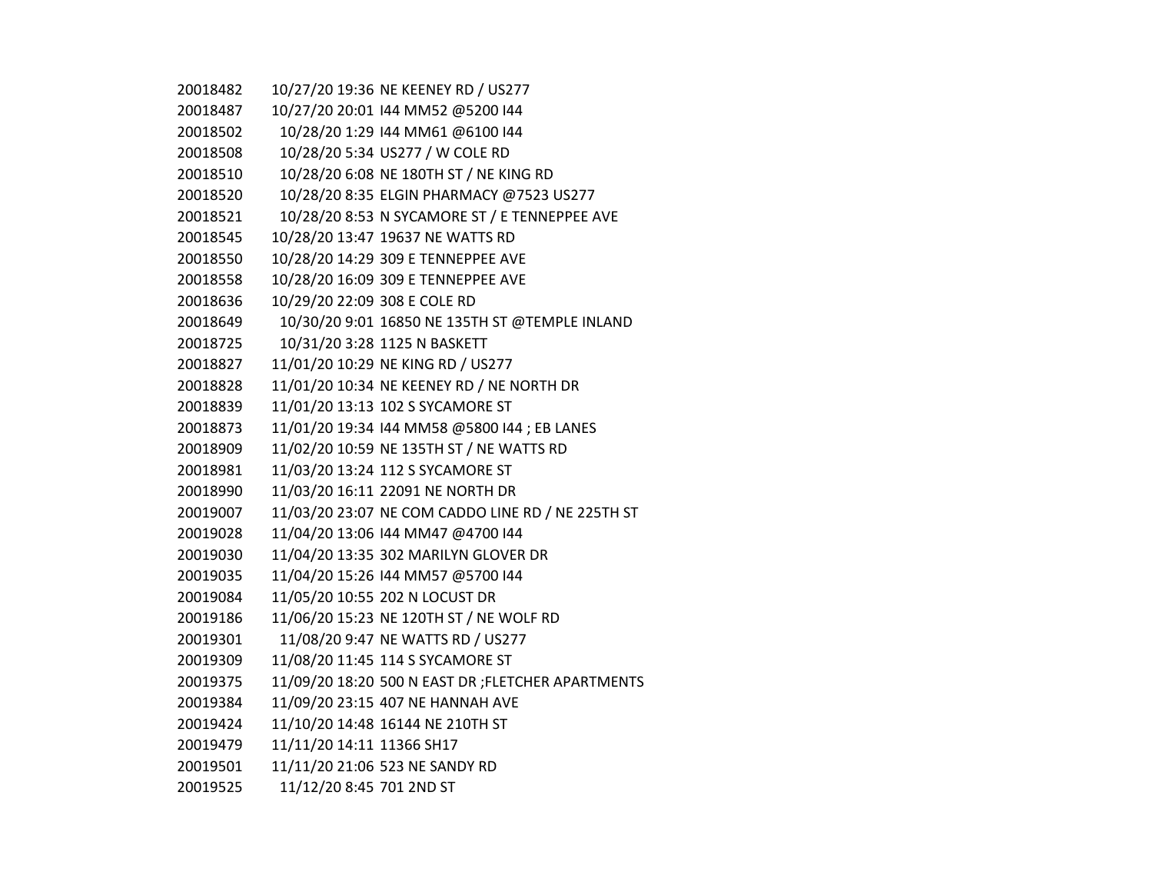| 20018482 |                              | 10/27/20 19:36 NE KEENEY RD / US277                |
|----------|------------------------------|----------------------------------------------------|
| 20018487 |                              | 10/27/20 20:01 144 MM52 @5200 144                  |
| 20018502 |                              | 10/28/20 1:29 144 MM61 @6100 144                   |
| 20018508 |                              | 10/28/20 5:34 US277 / W COLE RD                    |
| 20018510 |                              | 10/28/20 6:08 NE 180TH ST / NE KING RD             |
| 20018520 |                              | 10/28/20 8:35 ELGIN PHARMACY @7523 US277           |
| 20018521 |                              | 10/28/20 8:53 N SYCAMORE ST / E TENNEPPEE AVE      |
| 20018545 |                              | 10/28/20 13:47 19637 NE WATTS RD                   |
| 20018550 |                              | 10/28/20 14:29 309 E TENNEPPEE AVE                 |
| 20018558 |                              | 10/28/20 16:09 309 E TENNEPPEE AVE                 |
| 20018636 | 10/29/20 22:09 308 E COLE RD |                                                    |
| 20018649 |                              | 10/30/20 9:01 16850 NE 135TH ST @TEMPLE INLAND     |
| 20018725 |                              | 10/31/20 3:28 1125 N BASKETT                       |
| 20018827 |                              | 11/01/20 10:29 NE KING RD / US277                  |
| 20018828 |                              | 11/01/20 10:34 NE KEENEY RD / NE NORTH DR          |
| 20018839 |                              | 11/01/20 13:13 102 S SYCAMORE ST                   |
| 20018873 |                              | 11/01/20 19:34 144 MM58 @5800 144 ; EB LANES       |
| 20018909 |                              | 11/02/20 10:59 NE 135TH ST / NE WATTS RD           |
| 20018981 |                              | 11/03/20 13:24 112 S SYCAMORE ST                   |
| 20018990 |                              | 11/03/20 16:11 22091 NE NORTH DR                   |
| 20019007 |                              | 11/03/20 23:07 NE COM CADDO LINE RD / NE 225TH ST  |
| 20019028 |                              | 11/04/20 13:06 144 MM47 @4700 144                  |
| 20019030 |                              | 11/04/20 13:35 302 MARILYN GLOVER DR               |
| 20019035 |                              | 11/04/20 15:26 144 MM57 @5700 144                  |
| 20019084 |                              | 11/05/20 10:55 202 N LOCUST DR                     |
| 20019186 |                              | 11/06/20 15:23 NE 120TH ST / NE WOLF RD            |
| 20019301 |                              | 11/08/20 9:47 NE WATTS RD / US277                  |
| 20019309 |                              | 11/08/20 11:45 114 S SYCAMORE ST                   |
| 20019375 |                              | 11/09/20 18:20 500 N EAST DR ; FLETCHER APARTMENTS |
| 20019384 |                              | 11/09/20 23:15 407 NE HANNAH AVE                   |
| 20019424 |                              | 11/10/20 14:48 16144 NE 210TH ST                   |
| 20019479 | 11/11/20 14:11 11366 SH17    |                                                    |
| 20019501 |                              | 11/11/20 21:06 523 NE SANDY RD                     |
| 20019525 | 11/12/20 8:45 701 2ND ST     |                                                    |